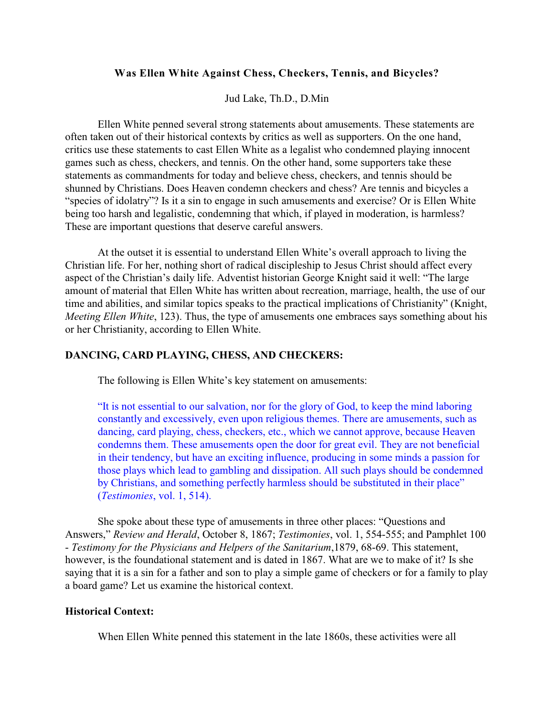## **Was Ellen White Against Chess, Checkers, Tennis, and Bicycles?**

Jud Lake, Th.D., D.Min

Ellen White penned several strong statements about amusements. These statements are often taken out of their historical contexts by critics as well as supporters. On the one hand, critics use these statements to cast Ellen White as a legalist who condemned playing innocent games such as chess, checkers, and tennis. On the other hand, some supporters take these statements as commandments for today and believe chess, checkers, and tennis should be shunned by Christians. Does Heaven condemn checkers and chess? Are tennis and bicycles a "species of idolatry"? Is it a sin to engage in such amusements and exercise? Or is Ellen White being too harsh and legalistic, condemning that which, if played in moderation, is harmless? These are important questions that deserve careful answers.

At the outset it is essential to understand Ellen White's overall approach to living the Christian life. For her, nothing short of radical discipleship to Jesus Christ should affect every aspect of the Christian's daily life. Adventist historian George Knight said it well: "The large amount of material that Ellen White has written about recreation, marriage, health, the use of our time and abilities, and similar topics speaks to the practical implications of Christianity" (Knight, *Meeting Ellen White*, 123). Thus, the type of amusements one embraces says something about his or her Christianity, according to Ellen White.

### **DANCING, CARD PLAYING, CHESS, AND CHECKERS:**

The following is Ellen White's key statement on amusements:

"It is not essential to our salvation, nor for the glory of God, to keep the mind laboring constantly and excessively, even upon religious themes. There are amusements, such as dancing, card playing, chess, checkers, etc., which we cannot approve, because Heaven condemns them. These amusements open the door for great evil. They are not beneficial in their tendency, but have an exciting influence, producing in some minds a passion for those plays which lead to gambling and dissipation. All such plays should be condemned by Christians, and something perfectly harmless should be substituted in their place" (*Testimonies*, vol. 1, 514).

She spoke about these type of amusements in three other places: "Questions and Answers," *Review and Herald*, October 8, 1867; *Testimonies*, vol. 1, 554-555; and Pamphlet 100 - *Testimony for the Physicians and Helpers of the Sanitarium*,1879, 68-69. This statement, however, is the foundational statement and is dated in 1867. What are we to make of it? Is she saying that it is a sin for a father and son to play a simple game of checkers or for a family to play a board game? Let us examine the historical context.

## **Historical Context:**

When Ellen White penned this statement in the late 1860s, these activities were all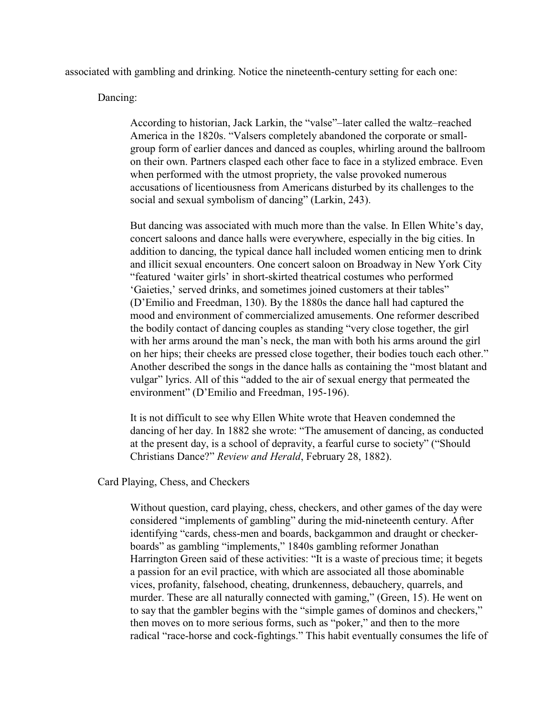associated with gambling and drinking. Notice the nineteenth-century setting for each one:

Dancing:

According to historian, Jack Larkin, the "valse"–later called the waltz–reached America in the 1820s. "Valsers completely abandoned the corporate or smallgroup form of earlier dances and danced as couples, whirling around the ballroom on their own. Partners clasped each other face to face in a stylized embrace. Even when performed with the utmost propriety, the valse provoked numerous accusations of licentiousness from Americans disturbed by its challenges to the social and sexual symbolism of dancing" (Larkin, 243).

But dancing was associated with much more than the valse. In Ellen White's day, concert saloons and dance halls were everywhere, especially in the big cities. In addition to dancing, the typical dance hall included women enticing men to drink and illicit sexual encounters. One concert saloon on Broadway in New York City "featured 'waiter girls' in short-skirted theatrical costumes who performed 'Gaieties,' served drinks, and sometimes joined customers at their tables" (D'Emilio and Freedman, 130). By the 1880s the dance hall had captured the mood and environment of commercialized amusements. One reformer described the bodily contact of dancing couples as standing "very close together, the girl with her arms around the man's neck, the man with both his arms around the girl on her hips; their cheeks are pressed close together, their bodies touch each other." Another described the songs in the dance halls as containing the "most blatant and vulgar" lyrics. All of this "added to the air of sexual energy that permeated the environment" (D'Emilio and Freedman, 195-196).

It is not difficult to see why Ellen White wrote that Heaven condemned the dancing of her day. In 1882 she wrote: "The amusement of dancing, as conducted at the present day, is a school of depravity, a fearful curse to society" ("Should Christians Dance?" *Review and Herald*, February 28, 1882).

# Card Playing, Chess, and Checkers

Without question, card playing, chess, checkers, and other games of the day were considered "implements of gambling" during the mid-nineteenth century. After identifying "cards, chess-men and boards, backgammon and draught or checkerboards" as gambling "implements," 1840s gambling reformer Jonathan Harrington Green said of these activities: "It is a waste of precious time; it begets a passion for an evil practice, with which are associated all those abominable vices, profanity, falsehood, cheating, drunkenness, debauchery, quarrels, and murder. These are all naturally connected with gaming," (Green, 15). He went on to say that the gambler begins with the "simple games of dominos and checkers," then moves on to more serious forms, such as "poker," and then to the more radical "race-horse and cock-fightings." This habit eventually consumes the life of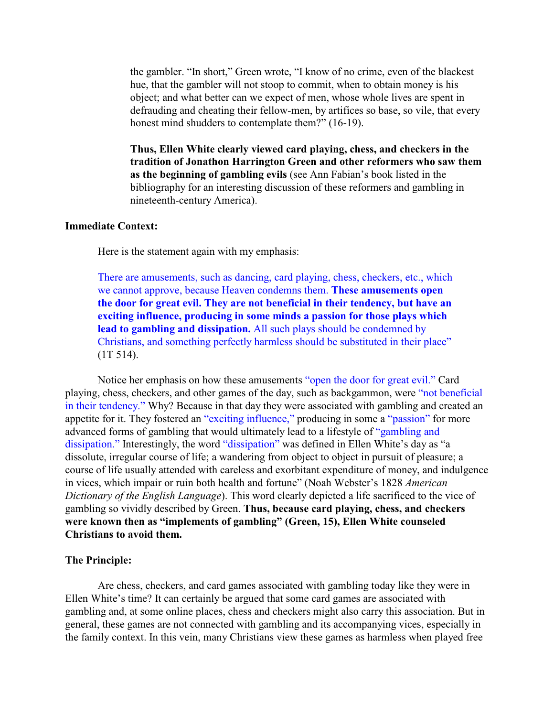the gambler. "In short," Green wrote, "I know of no crime, even of the blackest hue, that the gambler will not stoop to commit, when to obtain money is his object; and what better can we expect of men, whose whole lives are spent in defrauding and cheating their fellow-men, by artifices so base, so vile, that every honest mind shudders to contemplate them?" (16-19).

**Thus, Ellen White clearly viewed card playing, chess, and checkers in the tradition of Jonathon Harrington Green and other reformers who saw them as the beginning of gambling evils** (see Ann Fabian's book listed in the bibliography for an interesting discussion of these reformers and gambling in nineteenth-century America).

### **Immediate Context:**

Here is the statement again with my emphasis:

There are amusements, such as dancing, card playing, chess, checkers, etc., which we cannot approve, because Heaven condemns them. **These amusements open the door for great evil. They are not beneficial in their tendency, but have an exciting influence, producing in some minds a passion for those plays which lead to gambling and dissipation.** All such plays should be condemned by Christians, and something perfectly harmless should be substituted in their place" (1T 514).

Notice her emphasis on how these amusements "open the door for great evil." Card playing, chess, checkers, and other games of the day, such as backgammon, were "not beneficial in their tendency." Why? Because in that day they were associated with gambling and created an appetite for it. They fostered an "exciting influence," producing in some a "passion" for more advanced forms of gambling that would ultimately lead to a lifestyle of "gambling and dissipation." Interestingly, the word "dissipation" was defined in Ellen White's day as "a dissolute, irregular course of life; a wandering from object to object in pursuit of pleasure; a course of life usually attended with careless and exorbitant expenditure of money, and indulgence in vices, which impair or ruin both health and fortune" (Noah Webster's 1828 *American Dictionary of the English Language*). This word clearly depicted a life sacrificed to the vice of gambling so vividly described by Green. **Thus, because card playing, chess, and checkers were known then as "implements of gambling" (Green, 15), Ellen White counseled Christians to avoid them.** 

### **The Principle:**

Are chess, checkers, and card games associated with gambling today like they were in Ellen White's time? It can certainly be argued that some card games are associated with gambling and, at some online places, chess and checkers might also carry this association. But in general, these games are not connected with gambling and its accompanying vices, especially in the family context. In this vein, many Christians view these games as harmless when played free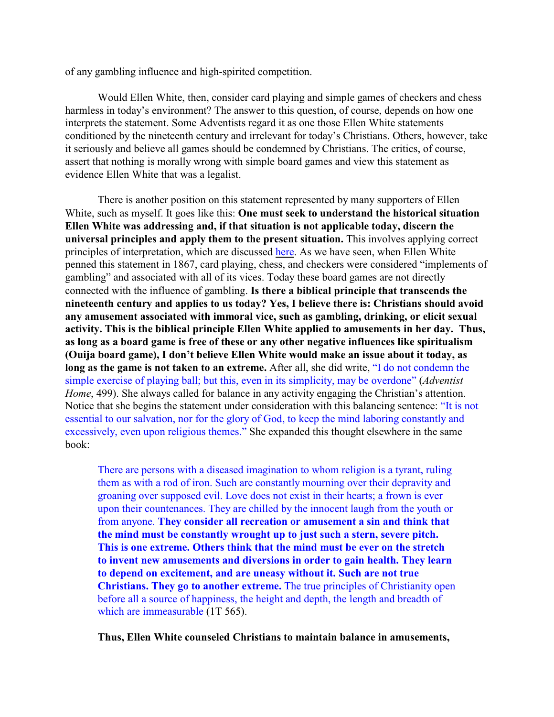of any gambling influence and high-spirited competition.

Would Ellen White, then, consider card playing and simple games of checkers and chess harmless in today's environment? The answer to this question, of course, depends on how one interprets the statement. Some Adventists regard it as one those Ellen White statements conditioned by the nineteenth century and irrelevant for today's Christians. Others, however, take it seriously and believe all games should be condemned by Christians. The critics, of course, assert that nothing is morally wrong with simple board games and view this statement as evidence Ellen White that was a legalist.

There is another position on this statement represented by many supporters of Ellen White, such as myself. It goes like this: **One must seek to understand the historical situation Ellen White was addressing and, if that situation is not applicable today, discern the universal principles and apply them to the present situation.** This involves applying correct principles of interpretation, which are discussed [here](http://ellenwhiteanswers.org/critics/ellenwhite/interpreting). As we have seen, when Ellen White penned this statement in 1867, card playing, chess, and checkers were considered "implements of gambling" and associated with all of its vices. Today these board games are not directly connected with the influence of gambling. **Is there a biblical principle that transcends the nineteenth century and applies to us today? Yes, I believe there is: Christians should avoid any amusement associated with immoral vice, such as gambling, drinking, or elicit sexual activity. This is the biblical principle Ellen White applied to amusements in her day. Thus, as long as a board game is free of these or any other negative influences like spiritualism (Ouija board game), I don't believe Ellen White would make an issue about it today, as long as the game is not taken to an extreme.** After all, she did write, "I do not condemn the simple exercise of playing ball; but this, even in its simplicity, may be overdone" (*Adventist Home*, 499). She always called for balance in any activity engaging the Christian's attention. Notice that she begins the statement under consideration with this balancing sentence: "It is not essential to our salvation, nor for the glory of God, to keep the mind laboring constantly and excessively, even upon religious themes." She expanded this thought elsewhere in the same book:

There are persons with a diseased imagination to whom religion is a tyrant, ruling them as with a rod of iron. Such are constantly mourning over their depravity and groaning over supposed evil. Love does not exist in their hearts; a frown is ever upon their countenances. They are chilled by the innocent laugh from the youth or from anyone. **They consider all recreation or amusement a sin and think that the mind must be constantly wrought up to just such a stern, severe pitch. This is one extreme. Others think that the mind must be ever on the stretch to invent new amusements and diversions in order to gain health. They learn to depend on excitement, and are uneasy without it. Such are not true Christians. They go to another extreme.** The true principles of Christianity open before all a source of happiness, the height and depth, the length and breadth of which are immeasurable (1T 565).

**Thus, Ellen White counseled Christians to maintain balance in amusements,**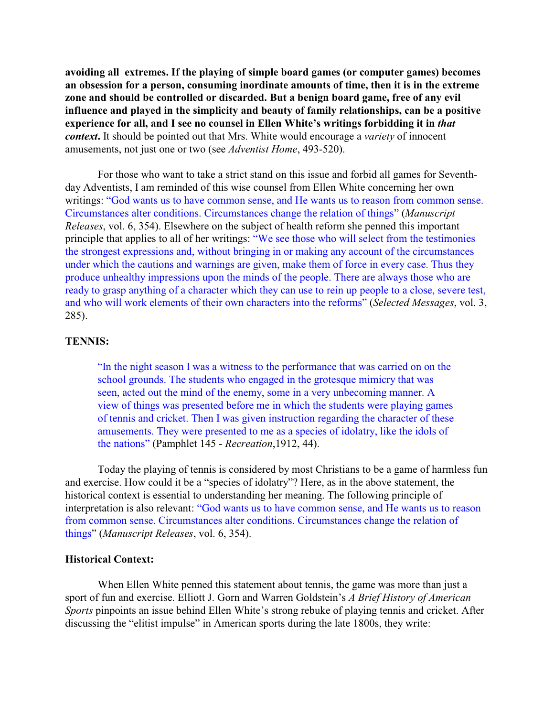**avoiding all extremes. If the playing of simple board games (or computer games) becomes an obsession for a person, consuming inordinate amounts of time, then it is in the extreme zone and should be controlled or discarded. But a benign board game, free of any evil influence and played in the simplicity and beauty of family relationships, can be a positive experience for all, and I see no counsel in Ellen White's writings forbidding it in** *that context***.** It should be pointed out that Mrs. White would encourage a *variety* of innocent amusements, not just one or two (see *Adventist Home*, 493-520).

For those who want to take a strict stand on this issue and forbid all games for Seventhday Adventists, I am reminded of this wise counsel from Ellen White concerning her own writings: "God wants us to have common sense, and He wants us to reason from common sense. Circumstances alter conditions. Circumstances change the relation of things" (*Manuscript Releases*, vol. 6, 354). Elsewhere on the subject of health reform she penned this important principle that applies to all of her writings: "We see those who will select from the testimonies the strongest expressions and, without bringing in or making any account of the circumstances under which the cautions and warnings are given, make them of force in every case. Thus they produce unhealthy impressions upon the minds of the people. There are always those who are ready to grasp anything of a character which they can use to rein up people to a close, severe test, and who will work elements of their own characters into the reforms" (*Selected Messages*, vol. 3, 285).

#### **TENNIS:**

"In the night season I was a witness to the performance that was carried on on the school grounds. The students who engaged in the grotesque mimicry that was seen, acted out the mind of the enemy, some in a very unbecoming manner. A view of things was presented before me in which the students were playing games of tennis and cricket. Then I was given instruction regarding the character of these amusements. They were presented to me as a species of idolatry, like the idols of the nations" (Pamphlet 145 - *Recreation*,1912, 44).

Today the playing of tennis is considered by most Christians to be a game of harmless fun and exercise. How could it be a "species of idolatry"? Here, as in the above statement, the historical context is essential to understanding her meaning. The following principle of interpretation is also relevant: "God wants us to have common sense, and He wants us to reason from common sense. Circumstances alter conditions. Circumstances change the relation of things" (*Manuscript Releases*, vol. 6, 354).

#### **Historical Context:**

When Ellen White penned this statement about tennis, the game was more than just a sport of fun and exercise. Elliott J. Gorn and Warren Goldstein's *A Brief History of American Sports* pinpoints an issue behind Ellen White's strong rebuke of playing tennis and cricket. After discussing the "elitist impulse" in American sports during the late 1800s, they write: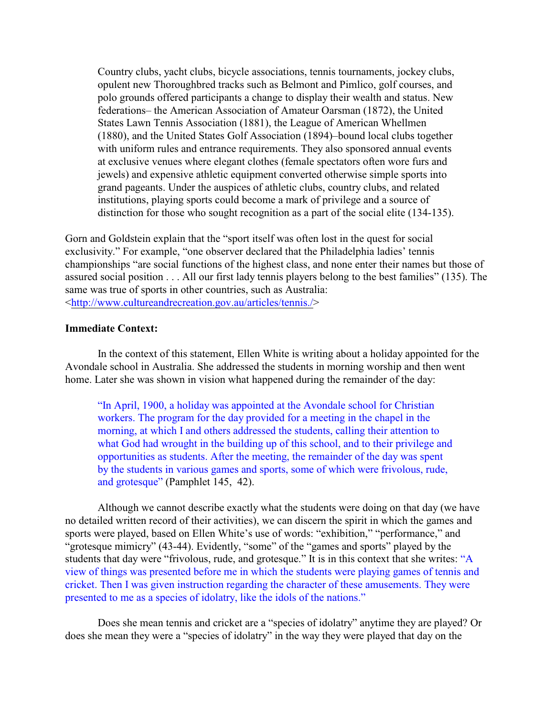Country clubs, yacht clubs, bicycle associations, tennis tournaments, jockey clubs, opulent new Thoroughbred tracks such as Belmont and Pimlico, golf courses, and polo grounds offered participants a change to display their wealth and status. New federations– the American Association of Amateur Oarsman (1872), the United States Lawn Tennis Association (1881), the League of American Whellmen (1880), and the United States Golf Association (1894)–bound local clubs together with uniform rules and entrance requirements. They also sponsored annual events at exclusive venues where elegant clothes (female spectators often wore furs and jewels) and expensive athletic equipment converted otherwise simple sports into grand pageants. Under the auspices of athletic clubs, country clubs, and related institutions, playing sports could become a mark of privilege and a source of distinction for those who sought recognition as a part of the social elite (134-135).

Gorn and Goldstein explain that the "sport itself was often lost in the quest for social exclusivity." For example, "one observer declared that the Philadelphia ladies' tennis championships "are social functions of the highest class, and none enter their names but those of assured social position . . . All our first lady tennis players belong to the best families" (135). The same was true of sports in other countries, such as Australia: [<http://www.cultureandrecreation.gov.au/articles/tennis./](http://www.cultureandrecreation.gov.au/articles/tennis./)>

## **Immediate Context:**

In the context of this statement, Ellen White is writing about a holiday appointed for the Avondale school in Australia. She addressed the students in morning worship and then went home. Later she was shown in vision what happened during the remainder of the day:

"In April, 1900, a holiday was appointed at the Avondale school for Christian workers. The program for the day provided for a meeting in the chapel in the morning, at which I and others addressed the students, calling their attention to what God had wrought in the building up of this school, and to their privilege and opportunities as students. After the meeting, the remainder of the day was spent by the students in various games and sports, some of which were frivolous, rude, and grotesque" (Pamphlet 145, 42).

Although we cannot describe exactly what the students were doing on that day (we have no detailed written record of their activities), we can discern the spirit in which the games and sports were played, based on Ellen White's use of words: "exhibition," "performance," and "grotesque mimicry" (43-44). Evidently, "some" of the "games and sports" played by the students that day were "frivolous, rude, and grotesque." It is in this context that she writes: "A view of things was presented before me in which the students were playing games of tennis and cricket. Then I was given instruction regarding the character of these amusements. They were presented to me as a species of idolatry, like the idols of the nations."

Does she mean tennis and cricket are a "species of idolatry" anytime they are played? Or does she mean they were a "species of idolatry" in the way they were played that day on the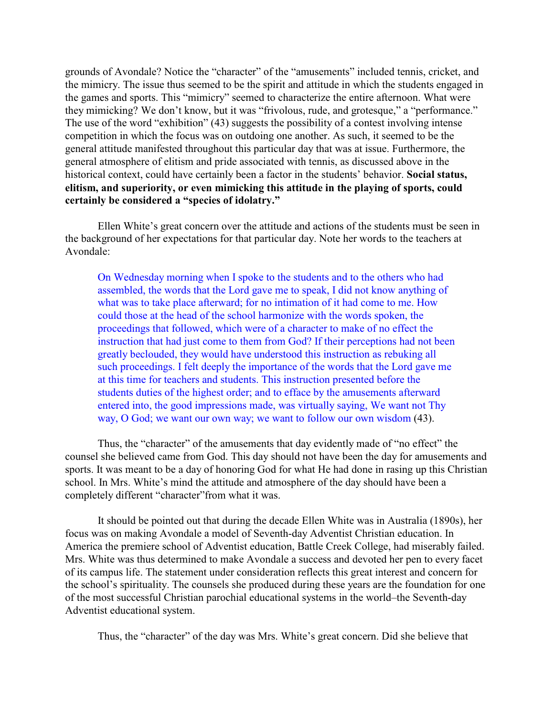grounds of Avondale? Notice the "character" of the "amusements" included tennis, cricket, and the mimicry. The issue thus seemed to be the spirit and attitude in which the students engaged in the games and sports. This "mimicry" seemed to characterize the entire afternoon. What were they mimicking? We don't know, but it was "frivolous, rude, and grotesque," a "performance." The use of the word "exhibition" (43) suggests the possibility of a contest involving intense competition in which the focus was on outdoing one another. As such, it seemed to be the general attitude manifested throughout this particular day that was at issue. Furthermore, the general atmosphere of elitism and pride associated with tennis, as discussed above in the historical context, could have certainly been a factor in the students' behavior. **Social status, elitism, and superiority, or even mimicking this attitude in the playing of sports, could certainly be considered a "species of idolatry."** 

Ellen White's great concern over the attitude and actions of the students must be seen in the background of her expectations for that particular day. Note her words to the teachers at Avondale:

On Wednesday morning when I spoke to the students and to the others who had assembled, the words that the Lord gave me to speak, I did not know anything of what was to take place afterward; for no intimation of it had come to me. How could those at the head of the school harmonize with the words spoken, the proceedings that followed, which were of a character to make of no effect the instruction that had just come to them from God? If their perceptions had not been greatly beclouded, they would have understood this instruction as rebuking all such proceedings. I felt deeply the importance of the words that the Lord gave me at this time for teachers and students. This instruction presented before the students duties of the highest order; and to efface by the amusements afterward entered into, the good impressions made, was virtually saying, We want not Thy way, O God; we want our own way; we want to follow our own wisdom (43).

Thus, the "character" of the amusements that day evidently made of "no effect" the counsel she believed came from God. This day should not have been the day for amusements and sports. It was meant to be a day of honoring God for what He had done in rasing up this Christian school. In Mrs. White's mind the attitude and atmosphere of the day should have been a completely different "character"from what it was.

It should be pointed out that during the decade Ellen White was in Australia (1890s), her focus was on making Avondale a model of Seventh-day Adventist Christian education. In America the premiere school of Adventist education, Battle Creek College, had miserably failed. Mrs. White was thus determined to make Avondale a success and devoted her pen to every facet of its campus life. The statement under consideration reflects this great interest and concern for the school's spirituality. The counsels she produced during these years are the foundation for one of the most successful Christian parochial educational systems in the world–the Seventh-day Adventist educational system.

Thus, the "character" of the day was Mrs. White's great concern. Did she believe that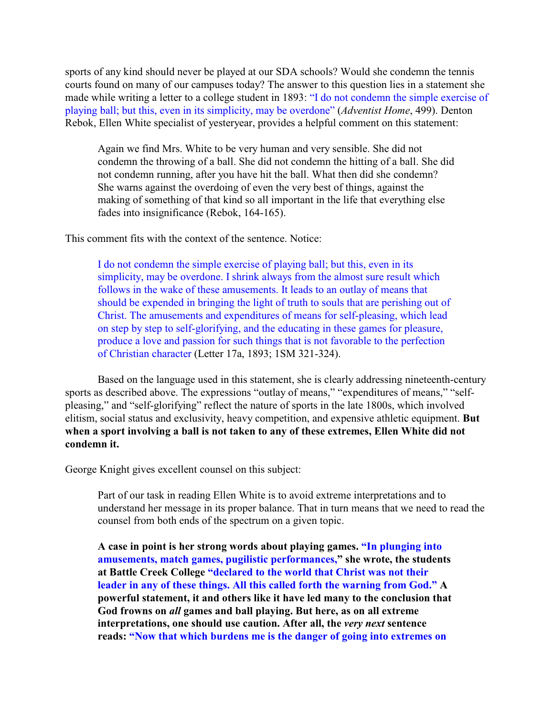sports of any kind should never be played at our SDA schools? Would she condemn the tennis courts found on many of our campuses today? The answer to this question lies in a statement she made while writing a letter to a college student in 1893: "I do not condemn the simple exercise of playing ball; but this, even in its simplicity, may be overdone" (*Adventist Home*, 499). Denton Rebok, Ellen White specialist of yesteryear, provides a helpful comment on this statement:

Again we find Mrs. White to be very human and very sensible. She did not condemn the throwing of a ball. She did not condemn the hitting of a ball. She did not condemn running, after you have hit the ball. What then did she condemn? She warns against the overdoing of even the very best of things, against the making of something of that kind so all important in the life that everything else fades into insignificance (Rebok, 164-165).

This comment fits with the context of the sentence. Notice:

I do not condemn the simple exercise of playing ball; but this, even in its simplicity, may be overdone. I shrink always from the almost sure result which follows in the wake of these amusements. It leads to an outlay of means that should be expended in bringing the light of truth to souls that are perishing out of Christ. The amusements and expenditures of means for self-pleasing, which lead on step by step to self-glorifying, and the educating in these games for pleasure, produce a love and passion for such things that is not favorable to the perfection of Christian character (Letter 17a, 1893; 1SM 321-324).

Based on the language used in this statement, she is clearly addressing nineteenth-century sports as described above. The expressions "outlay of means," "expenditures of means," "selfpleasing," and "self-glorifying" reflect the nature of sports in the late 1800s, which involved elitism, social status and exclusivity, heavy competition, and expensive athletic equipment. **But when a sport involving a ball is not taken to any of these extremes, Ellen White did not condemn it.**

George Knight gives excellent counsel on this subject:

Part of our task in reading Ellen White is to avoid extreme interpretations and to understand her message in its proper balance. That in turn means that we need to read the counsel from both ends of the spectrum on a given topic.

**A case in point is her strong words about playing games. "In plunging into amusements, match games, pugilistic performances," she wrote, the students at Battle Creek College "declared to the world that Christ was not their leader in any of these things. All this called forth the warning from God." A powerful statement, it and others like it have led many to the conclusion that God frowns on** *all* **games and ball playing. But here, as on all extreme interpretations, one should use caution. After all, the** *very next* **sentence reads: "Now that which burdens me is the danger of going into extremes on**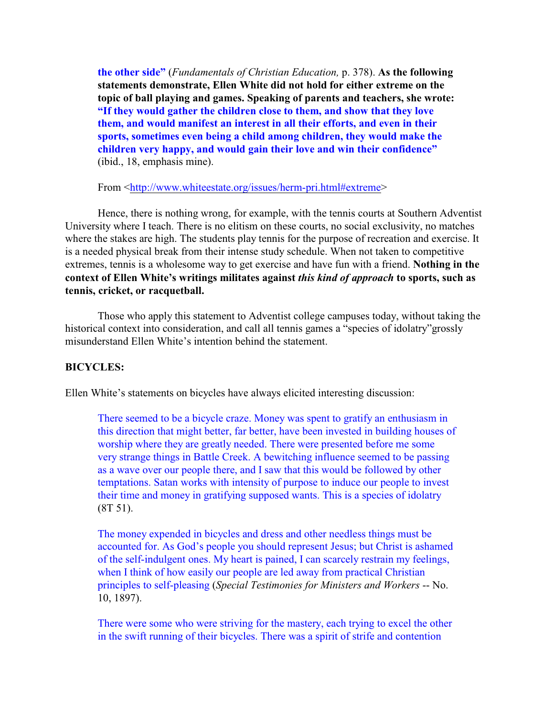**the other side"** (*Fundamentals of Christian Education,* p. 378). **As the following statements demonstrate, Ellen White did not hold for either extreme on the topic of ball playing and games. Speaking of parents and teachers, she wrote: "If they would gather the children close to them, and show that they love them, and would manifest an interest in all their efforts, and even in their sports, sometimes even being a child among children, they would make the children very happy, and would gain their love and win their confidence"** (ibid., 18, emphasis mine).

From [<http://www.whiteestate.org/issues/herm-pri.html#extreme](http://www.whiteestate.org/issues/herm-pri.html#extreme)>

Hence, there is nothing wrong, for example, with the tennis courts at Southern Adventist University where I teach. There is no elitism on these courts, no social exclusivity, no matches where the stakes are high. The students play tennis for the purpose of recreation and exercise. It is a needed physical break from their intense study schedule. When not taken to competitive extremes, tennis is a wholesome way to get exercise and have fun with a friend. **Nothing in the context of Ellen White's writings militates against** *this kind of approach* **to sports, such as tennis, cricket, or racquetball.** 

Those who apply this statement to Adventist college campuses today, without taking the historical context into consideration, and call all tennis games a "species of idolatry"grossly misunderstand Ellen White's intention behind the statement.

# **BICYCLES:**

Ellen White's statements on bicycles have always elicited interesting discussion:

There seemed to be a bicycle craze. Money was spent to gratify an enthusiasm in this direction that might better, far better, have been invested in building houses of worship where they are greatly needed. There were presented before me some very strange things in Battle Creek. A bewitching influence seemed to be passing as a wave over our people there, and I saw that this would be followed by other temptations. Satan works with intensity of purpose to induce our people to invest their time and money in gratifying supposed wants. This is a species of idolatry (8T 51).

The money expended in bicycles and dress and other needless things must be accounted for. As God's people you should represent Jesus; but Christ is ashamed of the self-indulgent ones. My heart is pained, I can scarcely restrain my feelings, when I think of how easily our people are led away from practical Christian principles to self-pleasing (*Special Testimonies for Ministers and Workers* -- No. 10, 1897).

There were some who were striving for the mastery, each trying to excel the other in the swift running of their bicycles. There was a spirit of strife and contention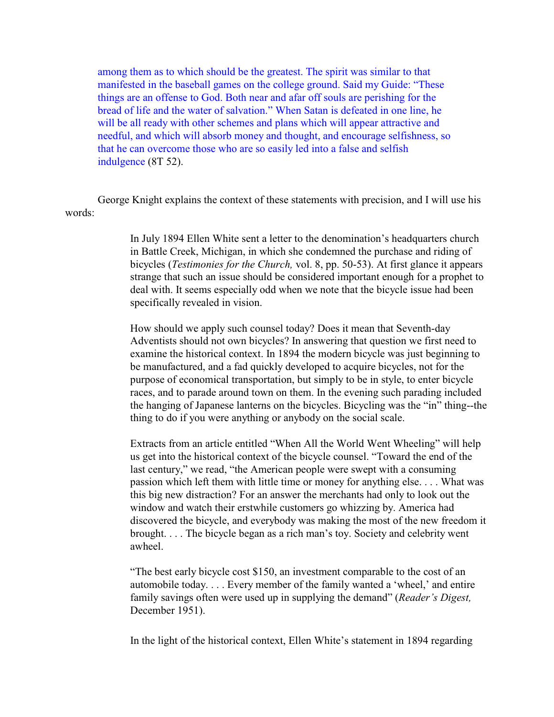among them as to which should be the greatest. The spirit was similar to that manifested in the baseball games on the college ground. Said my Guide: "These things are an offense to God. Both near and afar off souls are perishing for the bread of life and the water of salvation." When Satan is defeated in one line, he will be all ready with other schemes and plans which will appear attractive and needful, and which will absorb money and thought, and encourage selfishness, so that he can overcome those who are so easily led into a false and selfish indulgence (8T 52).

George Knight explains the context of these statements with precision, and I will use his words:

> In July 1894 Ellen White sent a letter to the denomination's headquarters church in Battle Creek, Michigan, in which she condemned the purchase and riding of bicycles (*Testimonies for the Church,* vol. 8, pp. 50-53). At first glance it appears strange that such an issue should be considered important enough for a prophet to deal with. It seems especially odd when we note that the bicycle issue had been specifically revealed in vision.

> How should we apply such counsel today? Does it mean that Seventh-day Adventists should not own bicycles? In answering that question we first need to examine the historical context. In 1894 the modern bicycle was just beginning to be manufactured, and a fad quickly developed to acquire bicycles, not for the purpose of economical transportation, but simply to be in style, to enter bicycle races, and to parade around town on them. In the evening such parading included the hanging of Japanese lanterns on the bicycles. Bicycling was the "in" thing--the thing to do if you were anything or anybody on the social scale.

> Extracts from an article entitled "When All the World Went Wheeling" will help us get into the historical context of the bicycle counsel. "Toward the end of the last century," we read, "the American people were swept with a consuming passion which left them with little time or money for anything else. . . . What was this big new distraction? For an answer the merchants had only to look out the window and watch their erstwhile customers go whizzing by. America had discovered the bicycle, and everybody was making the most of the new freedom it brought. . . . The bicycle began as a rich man's toy. Society and celebrity went awheel.

"The best early bicycle cost \$150, an investment comparable to the cost of an automobile today. . . . Every member of the family wanted a 'wheel,' and entire family savings often were used up in supplying the demand" (*Reader's Digest,* December 1951).

In the light of the historical context, Ellen White's statement in 1894 regarding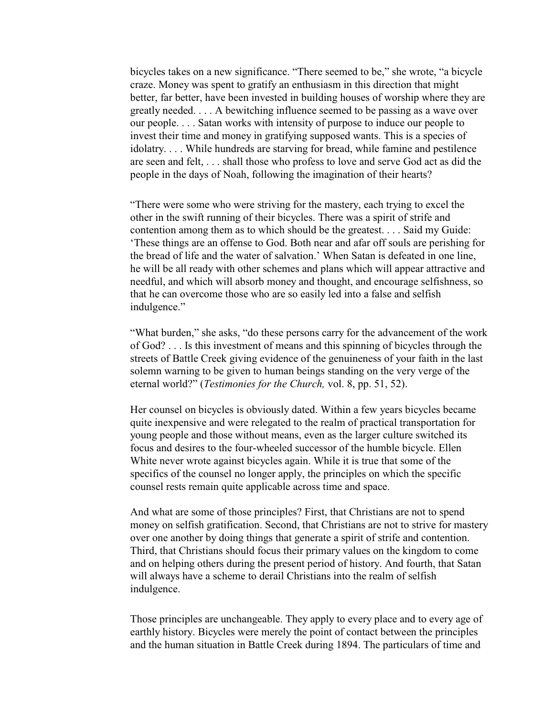bicycles takes on a new significance. "There seemed to be," she wrote, "a bicycle craze. Money was spent to gratify an enthusiasm in this direction that might better, far better, have been invested in building houses of worship where they are greatly needed. . . . A bewitching influence seemed to be passing as a wave over our people. . . . Satan works with intensity of purpose to induce our people to invest their time and money in gratifying supposed wants. This is a species of idolatry. . . . While hundreds are starving for bread, while famine and pestilence are seen and felt, . . . shall those who profess to love and serve God act as did the people in the days of Noah, following the imagination of their hearts?

"There were some who were striving for the mastery, each trying to excel the other in the swift running of their bicycles. There was a spirit of strife and contention among them as to which should be the greatest. . . . Said my Guide: 'These things are an offense to God. Both near and afar off souls are perishing for the bread of life and the water of salvation.' When Satan is defeated in one line, he will be all ready with other schemes and plans which will appear attractive and needful, and which will absorb money and thought, and encourage selfishness, so that he can overcome those who are so easily led into a false and selfish indulgence."

"What burden," she asks, "do these persons carry for the advancement of the work of God? . . . Is this investment of means and this spinning of bicycles through the streets of Battle Creek giving evidence of the genuineness of your faith in the last solemn warning to be given to human beings standing on the very verge of the eternal world?" (*Testimonies for the Church,* vol. 8, pp. 51, 52).

Her counsel on bicycles is obviously dated. Within a few years bicycles became quite inexpensive and were relegated to the realm of practical transportation for young people and those without means, even as the larger culture switched its focus and desires to the four-wheeled successor of the humble bicycle. Ellen White never wrote against bicycles again. While it is true that some of the specifics of the counsel no longer apply, the principles on which the specific counsel rests remain quite applicable across time and space.

And what are some of those principles? First, that Christians are not to spend money on selfish gratification. Second, that Christians are not to strive for mastery over one another by doing things that generate a spirit of strife and contention. Third, that Christians should focus their primary values on the kingdom to come and on helping others during the present period of history. And fourth, that Satan will always have a scheme to derail Christians into the realm of selfish indulgence.

Those principles are unchangeable. They apply to every place and to every age of earthly history. Bicycles were merely the point of contact between the principles and the human situation in Battle Creek during 1894. The particulars of time and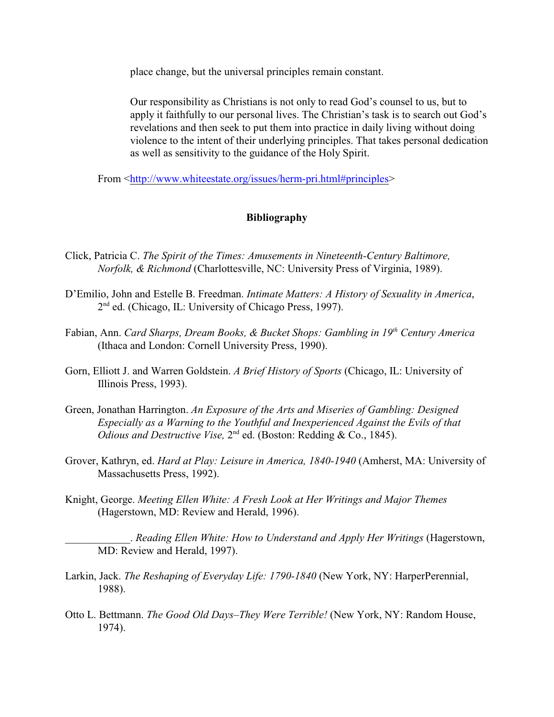place change, but the universal principles remain constant.

Our responsibility as Christians is not only to read God's counsel to us, but to apply it faithfully to our personal lives. The Christian's task is to search out God's revelations and then seek to put them into practice in daily living without doing violence to the intent of their underlying principles. That takes personal dedication as well as sensitivity to the guidance of the Holy Spirit.

From [<http://www.whiteestate.org/issues/herm-pri.html#principles](http://www.whiteestate.org/issues/herm-pri.html#principles)>

# **Bibliography**

- Click, Patricia C. *The Spirit of the Times: Amusements in Nineteenth-Century Baltimore, Norfolk, & Richmond* (Charlottesville, NC: University Press of Virginia, 1989).
- D'Emilio, John and Estelle B. Freedman. *Intimate Matters: A History of Sexuality in America*,  $2<sup>nd</sup>$  ed. (Chicago, IL: University of Chicago Press, 1997).
- Fabian, Ann. *Card Sharps, Dream Books, & Bucket Shops: Gambling in 19<sup>th</sup> Century America* (Ithaca and London: Cornell University Press, 1990).
- Gorn, Elliott J. and Warren Goldstein. *A Brief History of Sports* (Chicago, IL: University of Illinois Press, 1993).
- Green, Jonathan Harrington. *An Exposure of the Arts and Miseries of Gambling: Designed Especially as a Warning to the Youthful and Inexperienced Against the Evils of that Odious and Destructive Vise*, 2<sup>nd</sup> ed. (Boston: Redding & Co., 1845).
- Grover, Kathryn, ed. *Hard at Play: Leisure in America, 1840-1940* (Amherst, MA: University of Massachusetts Press, 1992).
- Knight, George. *Meeting Ellen White: A Fresh Look at Her Writings and Major Themes* (Hagerstown, MD: Review and Herald, 1996).

\_\_\_\_\_\_\_\_\_\_\_\_. *Reading Ellen White: How to Understand and Apply Her Writings* (Hagerstown, MD: Review and Herald, 1997).

- Larkin, Jack. *The Reshaping of Everyday Life: 1790-1840* (New York, NY: HarperPerennial, 1988).
- Otto L. Bettmann. *The Good Old Days–They Were Terrible!* (New York, NY: Random House, 1974).